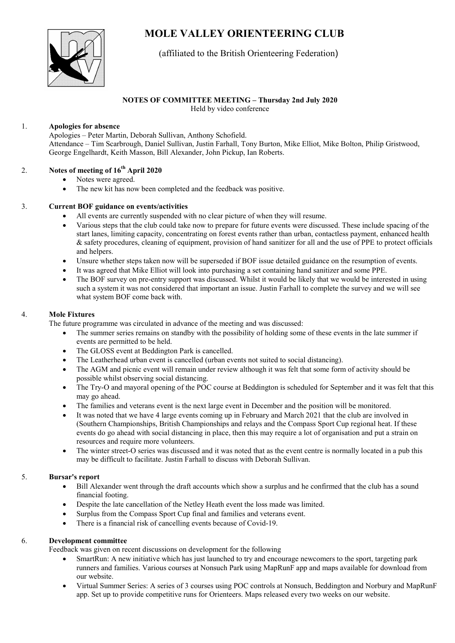# MOLE VALLEY ORIENTEERING CLUB



# (affiliated to the British Orienteering Federation)

# NOTES OF COMMITTEE MEETING – Thursday 2nd July 2020

Held by video conference

### 1. Apologies for absence

 Apologies – Peter Martin, Deborah Sullivan, Anthony Schofield. Attendance – Tim Scarbrough, Daniel Sullivan, Justin Farhall, Tony Burton, Mike Elliot, Mike Bolton, Philip Gristwood, George Engelhardt, Keith Masson, Bill Alexander, John Pickup, Ian Roberts.

# 2. Notes of meeting of  $16<sup>th</sup>$  April 2020

- Notes were agreed.
- The new kit has now been completed and the feedback was positive.

# 3. Current BOF guidance on events/activities

- All events are currently suspended with no clear picture of when they will resume.
- Various steps that the club could take now to prepare for future events were discussed. These include spacing of the start lanes, limiting capacity, concentrating on forest events rather than urban, contactless payment, enhanced health & safety procedures, cleaning of equipment, provision of hand sanitizer for all and the use of PPE to protect officials and helpers.
- Unsure whether steps taken now will be superseded if BOF issue detailed guidance on the resumption of events.
- It was agreed that Mike Elliot will look into purchasing a set containing hand sanitizer and some PPE.
- The BOF survey on pre-entry support was discussed. Whilst it would be likely that we would be interested in using such a system it was not considered that important an issue. Justin Farhall to complete the survey and we will see what system BOF come back with.

# 4. Mole Fixtures

The future programme was circulated in advance of the meeting and was discussed:

- The summer series remains on standby with the possibility of holding some of these events in the late summer if events are permitted to be held.
- The GLOSS event at Beddington Park is cancelled.
- The Leatherhead urban event is cancelled (urban events not suited to social distancing).
- The AGM and picnic event will remain under review although it was felt that some form of activity should be possible whilst observing social distancing.
- The Try-O and mayoral opening of the POC course at Beddington is scheduled for September and it was felt that this may go ahead.
- The families and veterans event is the next large event in December and the position will be monitored.
- It was noted that we have 4 large events coming up in February and March 2021 that the club are involved in (Southern Championships, British Championships and relays and the Compass Sport Cup regional heat. If these events do go ahead with social distancing in place, then this may require a lot of organisation and put a strain on resources and require more volunteers.
- The winter street-O series was discussed and it was noted that as the event centre is normally located in a pub this may be difficult to facilitate. Justin Farhall to discuss with Deborah Sullivan.

#### 5. Bursar's report

- Bill Alexander went through the draft accounts which show a surplus and he confirmed that the club has a sound financial footing.
- Despite the late cancellation of the Netley Heath event the loss made was limited.
- Surplus from the Compass Sport Cup final and families and veterans event.
- There is a financial risk of cancelling events because of Covid-19.

#### 6. Development committee

Feedback was given on recent discussions on development for the following

- SmartRun: A new initiative which has just launched to try and encourage newcomers to the sport, targeting park runners and families. Various courses at Nonsuch Park using MapRunF app and maps available for download from our website.
- Virtual Summer Series: A series of 3 courses using POC controls at Nonsuch, Beddington and Norbury and MapRunF app. Set up to provide competitive runs for Orienteers. Maps released every two weeks on our website.